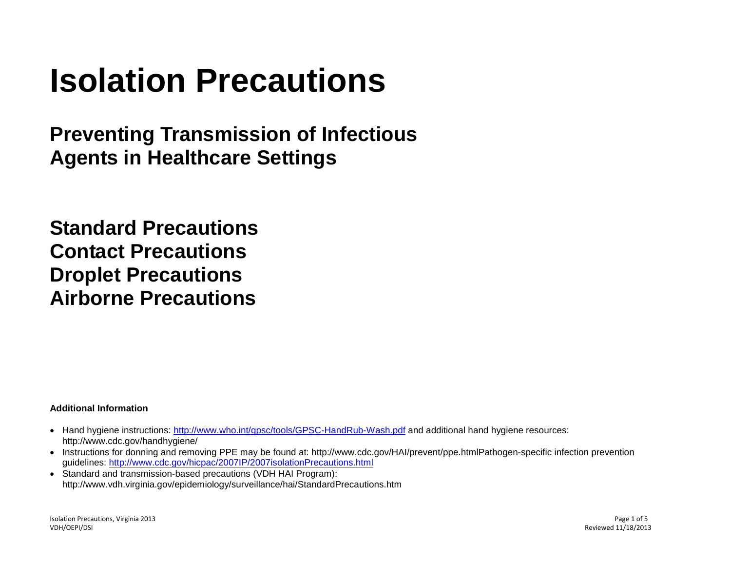# **Isolation Precautions**

**Preventing Transmission of Infectious Agents in Healthcare Settings**

**Standard Precautions Contact Precautions Droplet Precautions Airborne Precautions**

# **Additional Information**

- Hand hygiene instructions:<http://www.who.int/gpsc/tools/GPSC-HandRub-Wash.pdf> and additional hand hygiene resources: http://www.cdc.gov/handhygiene/
- Instructions for donning and removing PPE may be found at: http://www.cdc.gov/HAI/prevent/ppe.htmlPathogen-specific infection prevention guidelines:<http://www.cdc.gov/hicpac/2007IP/2007isolationPrecautions.html>
- Standard and transmission-based precautions (VDH HAI Program): http://www.vdh.virginia.gov/epidemiology/surveillance/hai/StandardPrecautions.htm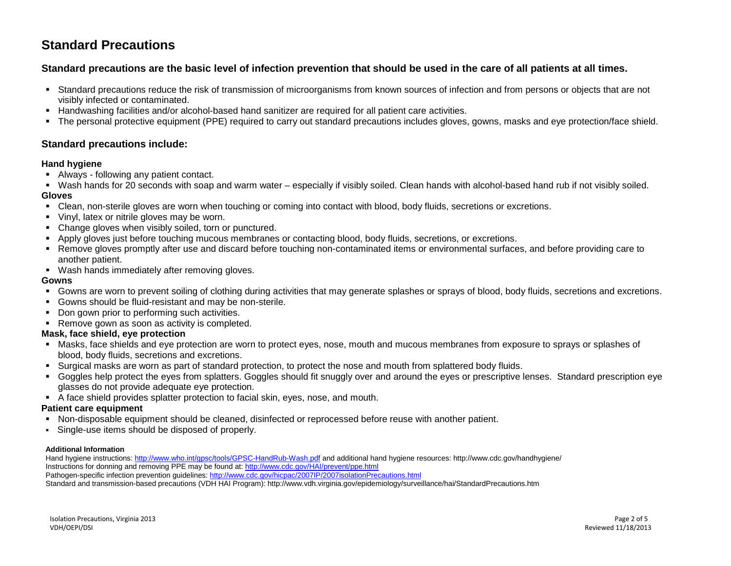# **Standard Precautions**

# **Standard precautions are the basic level of infection prevention that should be used in the care of all patients at all times.**

- Standard precautions reduce the risk of transmission of microorganisms from known sources of infection and from persons or objects that are not visibly infected or contaminated.
- **Handwashing facilities and/or alcohol-based hand sanitizer are required for all patient care activities.**
- The personal protective equipment (PPE) required to carry out standard precautions includes gloves, gowns, masks and eye protection/face shield.

# **Standard precautions include:**

## **Hand hygiene**

- Always following any patient contact.
- Wash hands for 20 seconds with soap and warm water especially if visibly soiled. Clean hands with alcohol-based hand rub if not visibly soiled. **Gloves**
- Clean, non-sterile gloves are worn when touching or coming into contact with blood, body fluids, secretions or excretions.
- Vinyl, latex or nitrile gloves may be worn.
- Change gloves when visibly soiled, torn or punctured.
- Apply gloves just before touching mucous membranes or contacting blood, body fluids, secretions, or excretions.
- **Remove gloves promptly after use and discard before touching non-contaminated items or environmental surfaces, and before providing care to** another patient.
- Wash hands immediately after removing gloves.

# **Gowns**

- Gowns are worn to prevent soiling of clothing during activities that may generate splashes or sprays of blood, body fluids, secretions and excretions.
- Gowns should be fluid-resistant and may be non-sterile.
- Don gown prior to performing such activities.
- Remove gown as soon as activity is completed.

# **Mask, face shield, eye protection**

- Masks, face shields and eye protection are worn to protect eyes, nose, mouth and mucous membranes from exposure to sprays or splashes of blood, body fluids, secretions and excretions.
- Surgical masks are worn as part of standard protection, to protect the nose and mouth from splattered body fluids.
- Goggles help protect the eyes from splatters. Goggles should fit snuggly over and around the eyes or prescriptive lenses. Standard prescription eye glasses do not provide adequate eye protection.
- A face shield provides splatter protection to facial skin, eyes, nose, and mouth.

# **Patient care equipment**

- Non-disposable equipment should be cleaned, disinfected or reprocessed before reuse with another patient.
- Single-use items should be disposed of properly.

#### **Additional Information**

Hand hygiene instructions:<http://www.who.int/gpsc/tools/GPSC-HandRub-Wash.pdf> and additional hand hygiene resources: http://www.cdc.gov/handhygiene/ Instructions for donning and removing PPE may be found at[: http://www.cdc.gov/HAI/prevent/ppe.html](http://www.cdc.gov/HAI/prevent/ppe.html) Pathogen-specific infection prevention guidelines[: http://www.cdc.gov/hicpac/2007IP/2007isolationPrecautions.html](http://www.cdc.gov/hicpac/2007IP/2007isolationPrecautions.html)

Standard and transmission-based precautions (VDH HAI Program): http://www.vdh.virginia.gov/epidemiology/surveillance/hai/StandardPrecautions.htm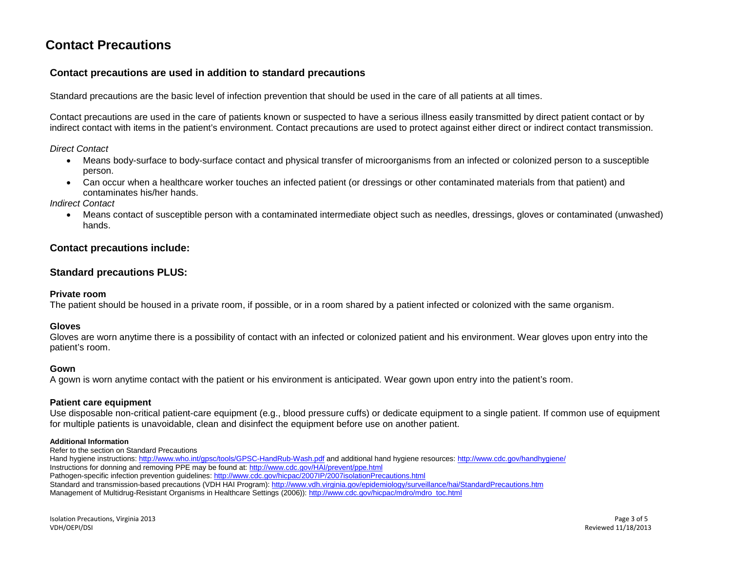# **Contact Precautions**

# **Contact precautions are used in addition to standard precautions**

Standard precautions are the basic level of infection prevention that should be used in the care of all patients at all times.

Contact precautions are used in the care of patients known or suspected to have a serious illness easily transmitted by direct patient contact or by indirect contact with items in the patient's environment. Contact precautions are used to protect against either direct or indirect contact transmission.

*Direct Contact* 

- Means body-surface to body-surface contact and physical transfer of microorganisms from an infected or colonized person to a susceptible person.
- Can occur when a healthcare worker touches an infected patient (or dressings or other contaminated materials from that patient) and contaminates his/her hands.

*Indirect Contact* 

• Means contact of susceptible person with a contaminated intermediate object such as needles, dressings, gloves or contaminated (unwashed) hands.

# **Contact precautions include:**

# **Standard precautions PLUS:**

#### **Private room**

The patient should be housed in a private room, if possible, or in a room shared by a patient infected or colonized with the same organism.

#### **Gloves**

Gloves are worn anytime there is a possibility of contact with an infected or colonized patient and his environment. Wear gloves upon entry into the patient's room.

#### **Gown**

A gown is worn anytime contact with the patient or his environment is anticipated. Wear gown upon entry into the patient's room.

#### **Patient care equipment**

Use disposable non-critical patient-care equipment (e.g., blood pressure cuffs) or dedicate equipment to a single patient. If common use of equipment for multiple patients is unavoidable, clean and disinfect the equipment before use on another patient.

#### **Additional Information**

Refer to the section on Standard Precautions

Hand hygiene instructions[: http://www.who.int/gpsc/tools/GPSC-HandRub-Wash.pdf](http://www.who.int/gpsc/tools/GPSC-HandRub-Wash.pdf) and additional hand hygiene resources[: http://www.cdc.gov/handhygiene/](http://www.cdc.gov/handhygiene/) Instructions for donning and removing PPE may be found at:<http://www.cdc.gov/HAI/prevent/ppe.html> Pathogen-specific infection prevention guidelines:<http://www.cdc.gov/hicpac/2007IP/2007isolationPrecautions.html>

Standard and transmission-based precautions (VDH HAI Program)[: http://www.vdh.virginia.gov/epidemiology/surveillance/hai/StandardPrecautions.htm](http://www.vdh.virginia.gov/epidemiology/surveillance/hai/StandardPrecautions.htm) Management of Multidrug-Resistant Organisms in Healthcare Settings (2006))[: http://www.cdc.gov/hicpac/mdro/mdro\\_toc.html](http://www.cdc.gov/hicpac/mdro/mdro_toc.html)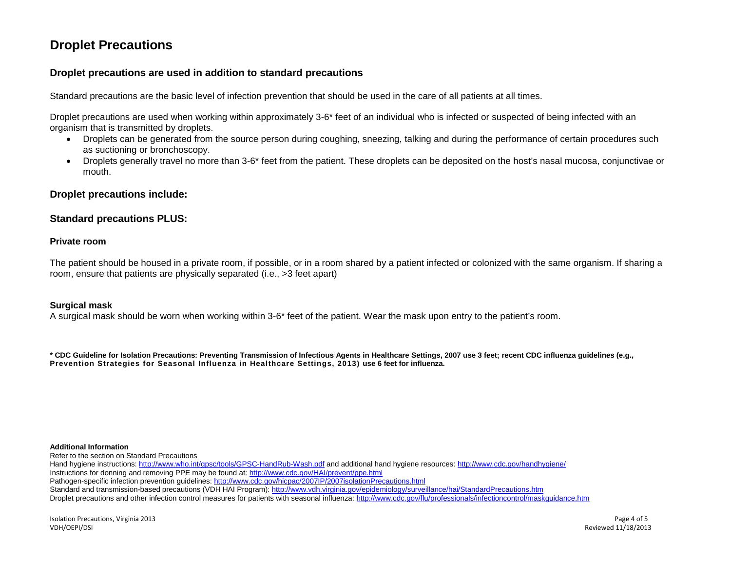# **Droplet Precautions**

# **Droplet precautions are used in addition to standard precautions**

Standard precautions are the basic level of infection prevention that should be used in the care of all patients at all times.

Droplet precautions are used when working within approximately 3-6\* feet of an individual who is infected or suspected of being infected with an organism that is transmitted by droplets.

- Droplets can be generated from the source person during coughing, sneezing, talking and during the performance of certain procedures such as suctioning or bronchoscopy.
- Droplets generally travel no more than 3-6\* feet from the patient. These droplets can be deposited on the host's nasal mucosa, conjunctivae or mouth.

## **Droplet precautions include:**

## **Standard precautions PLUS:**

#### **Private room**

The patient should be housed in a private room, if possible, or in a room shared by a patient infected or colonized with the same organism. If sharing a room, ensure that patients are physically separated (i.e., >3 feet apart)

#### **Surgical mask**

A surgical mask should be worn when working within 3-6\* feet of the patient. Wear the mask upon entry to the patient's room.

**\* CDC Guideline for Isolation Precautions: Preventing Transmission of Infectious Agents in Healthcare Settings, 2007 use 3 feet; recent CDC influenza guidelines (e.g., Prevention Strategies for Seasonal Influenza in Healthcare Settings, 2013) use 6 feet for influenza.** 

#### **Additional Information**

Refer to the section on Standard Precautions

Hand hygiene instructions[: http://www.who.int/gpsc/tools/GPSC-HandRub-Wash.pdf](http://www.who.int/gpsc/tools/GPSC-HandRub-Wash.pdf) and additional hand hygiene resources[: http://www.cdc.gov/handhygiene/](http://www.cdc.gov/handhygiene/) Instructions for donning and removing PPE may be found at:<http://www.cdc.gov/HAI/prevent/ppe.html> Pathogen-specific infection prevention guidelines:<http://www.cdc.gov/hicpac/2007IP/2007isolationPrecautions.html> Standard and transmission-based precautions (VDH HAI Program)[: http://www.vdh.virginia.gov/epidemiology/surveillance/hai/StandardPrecautions.htm](http://www.vdh.virginia.gov/epidemiology/surveillance/hai/StandardPrecautions.htm) Droplet precautions and other infection control measures for patients with seasonal influenza:<http://www.cdc.gov/flu/professionals/infectioncontrol/maskguidance.htm>